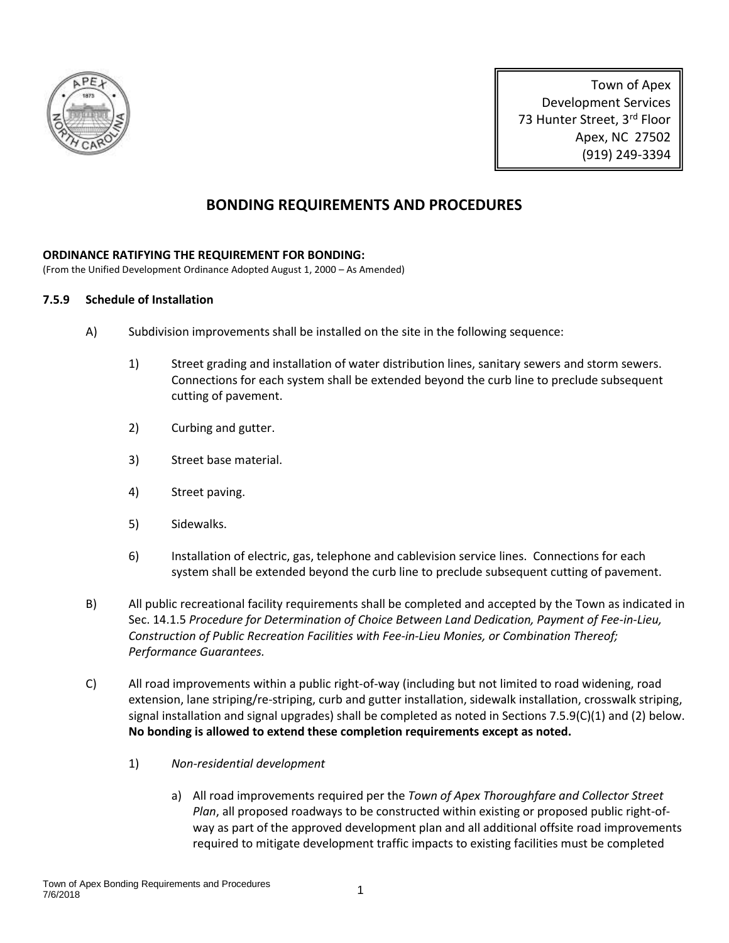

Town of Apex Development Services 73 Hunter Street, 3rd Floor Apex, NC 27502 (919) 249-3394

# **BONDING REQUIREMENTS AND PROCEDURES**

#### **ORDINANCE RATIFYING THE REQUIREMENT FOR BONDING:**

(From the Unified Development Ordinance Adopted August 1, 2000 – As Amended)

#### **7.5.9 Schedule of Installation**

- A) Subdivision improvements shall be installed on the site in the following sequence:
	- 1) Street grading and installation of water distribution lines, sanitary sewers and storm sewers. Connections for each system shall be extended beyond the curb line to preclude subsequent cutting of pavement.
	- 2) Curbing and gutter.
	- 3) Street base material.
	- 4) Street paving.
	- 5) Sidewalks.
	- 6) Installation of electric, gas, telephone and cablevision service lines. Connections for each system shall be extended beyond the curb line to preclude subsequent cutting of pavement.
- B) All public recreational facility requirements shall be completed and accepted by the Town as indicated in Sec. 14.1.5 *Procedure for Determination of Choice Between Land Dedication, Payment of Fee-in-Lieu, Construction of Public Recreation Facilities with Fee-in-Lieu Monies, or Combination Thereof; Performance Guarantees.*
- C) All road improvements within a public right-of-way (including but not limited to road widening, road extension, lane striping/re-striping, curb and gutter installation, sidewalk installation, crosswalk striping, signal installation and signal upgrades) shall be completed as noted in Sections 7.5.9(C)(1) and (2) below. **No bonding is allowed to extend these completion requirements except as noted.**
	- 1) *Non-residential development*
		- a) All road improvements required per the *Town of Apex Thoroughfare and Collector Street Plan*, all proposed roadways to be constructed within existing or proposed public right-ofway as part of the approved development plan and all additional offsite road improvements required to mitigate development traffic impacts to existing facilities must be completed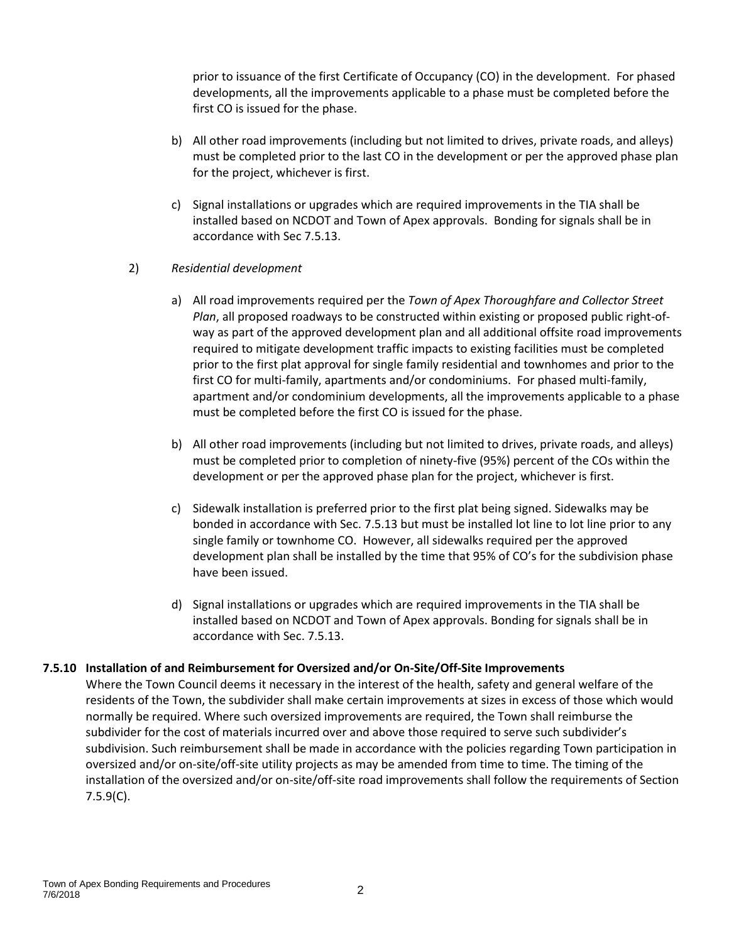prior to issuance of the first Certificate of Occupancy (CO) in the development. For phased developments, all the improvements applicable to a phase must be completed before the first CO is issued for the phase.

- b) All other road improvements (including but not limited to drives, private roads, and alleys) must be completed prior to the last CO in the development or per the approved phase plan for the project, whichever is first.
- c) Signal installations or upgrades which are required improvements in the TIA shall be installed based on NCDOT and Town of Apex approvals. Bonding for signals shall be in accordance with Sec 7.5.13.

#### 2) *Residential development*

- a) All road improvements required per the *Town of Apex Thoroughfare and Collector Street Plan*, all proposed roadways to be constructed within existing or proposed public right-ofway as part of the approved development plan and all additional offsite road improvements required to mitigate development traffic impacts to existing facilities must be completed prior to the first plat approval for single family residential and townhomes and prior to the first CO for multi-family, apartments and/or condominiums. For phased multi-family, apartment and/or condominium developments, all the improvements applicable to a phase must be completed before the first CO is issued for the phase.
- b) All other road improvements (including but not limited to drives, private roads, and alleys) must be completed prior to completion of ninety-five (95%) percent of the COs within the development or per the approved phase plan for the project, whichever is first.
- c) Sidewalk installation is preferred prior to the first plat being signed. Sidewalks may be bonded in accordance with Sec. 7.5.13 but must be installed lot line to lot line prior to any single family or townhome CO. However, all sidewalks required per the approved development plan shall be installed by the time that 95% of CO's for the subdivision phase have been issued.
- d) Signal installations or upgrades which are required improvements in the TIA shall be installed based on NCDOT and Town of Apex approvals. Bonding for signals shall be in accordance with Sec. 7.5.13.

## **7.5.10 Installation of and Reimbursement for Oversized and/or On-Site/Off-Site Improvements**

Where the Town Council deems it necessary in the interest of the health, safety and general welfare of the residents of the Town, the subdivider shall make certain improvements at sizes in excess of those which would normally be required. Where such oversized improvements are required, the Town shall reimburse the subdivider for the cost of materials incurred over and above those required to serve such subdivider's subdivision. Such reimbursement shall be made in accordance with the policies regarding Town participation in oversized and/or on-site/off-site utility projects as may be amended from time to time. The timing of the installation of the oversized and/or on-site/off-site road improvements shall follow the requirements of Section 7.5.9(C).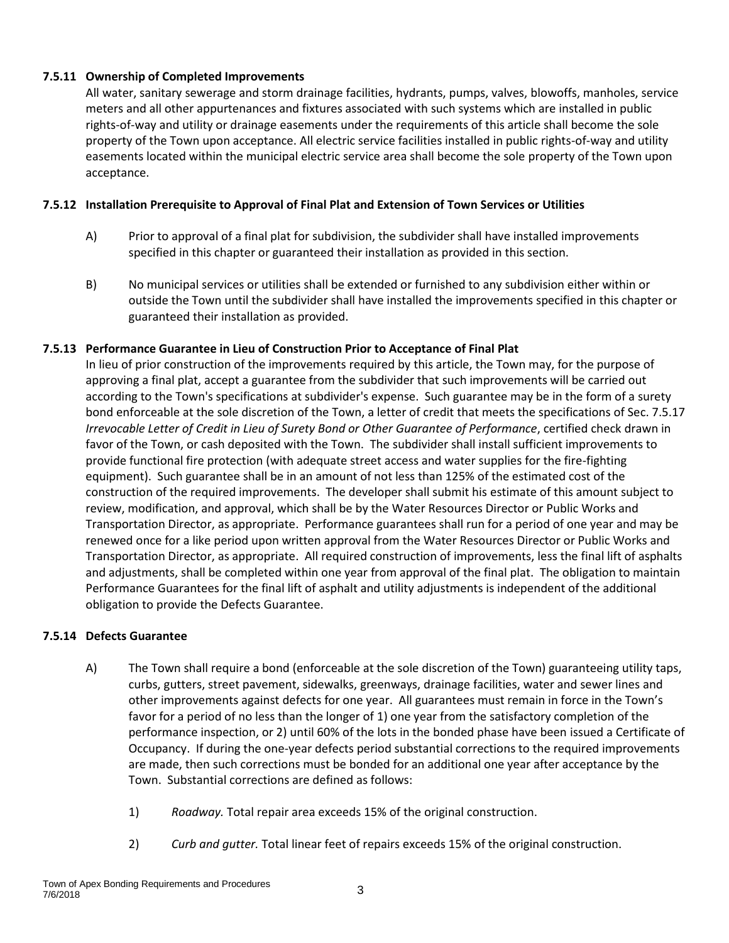#### **7.5.11 Ownership of Completed Improvements**

All water, sanitary sewerage and storm drainage facilities, hydrants, pumps, valves, blowoffs, manholes, service meters and all other appurtenances and fixtures associated with such systems which are installed in public rights-of-way and utility or drainage easements under the requirements of this article shall become the sole property of the Town upon acceptance. All electric service facilities installed in public rights-of-way and utility easements located within the municipal electric service area shall become the sole property of the Town upon acceptance.

#### **7.5.12 Installation Prerequisite to Approval of Final Plat and Extension of Town Services or Utilities**

- A) Prior to approval of a final plat for subdivision, the subdivider shall have installed improvements specified in this chapter or guaranteed their installation as provided in this section.
- B) No municipal services or utilities shall be extended or furnished to any subdivision either within or outside the Town until the subdivider shall have installed the improvements specified in this chapter or guaranteed their installation as provided.

#### **7.5.13 Performance Guarantee in Lieu of Construction Prior to Acceptance of Final Plat**

In lieu of prior construction of the improvements required by this article, the Town may, for the purpose of approving a final plat, accept a guarantee from the subdivider that such improvements will be carried out according to the Town's specifications at subdivider's expense. Such guarantee may be in the form of a surety bond enforceable at the sole discretion of the Town, a letter of credit that meets the specifications of Sec. 7.5.17 *Irrevocable Letter of Credit in Lieu of Surety Bond or Other Guarantee of Performance*, certified check drawn in favor of the Town, or cash deposited with the Town. The subdivider shall install sufficient improvements to provide functional fire protection (with adequate street access and water supplies for the fire-fighting equipment). Such guarantee shall be in an amount of not less than 125% of the estimated cost of the construction of the required improvements. The developer shall submit his estimate of this amount subject to review, modification, and approval, which shall be by the Water Resources Director or Public Works and Transportation Director, as appropriate. Performance guarantees shall run for a period of one year and may be renewed once for a like period upon written approval from the Water Resources Director or Public Works and Transportation Director, as appropriate. All required construction of improvements, less the final lift of asphalts and adjustments, shall be completed within one year from approval of the final plat. The obligation to maintain Performance Guarantees for the final lift of asphalt and utility adjustments is independent of the additional obligation to provide the Defects Guarantee.

#### **7.5.14 Defects Guarantee**

- A) The Town shall require a bond (enforceable at the sole discretion of the Town) guaranteeing utility taps, curbs, gutters, street pavement, sidewalks, greenways, drainage facilities, water and sewer lines and other improvements against defects for one year. All guarantees must remain in force in the Town's favor for a period of no less than the longer of 1) one year from the satisfactory completion of the performance inspection, or 2) until 60% of the lots in the bonded phase have been issued a Certificate of Occupancy. If during the one-year defects period substantial corrections to the required improvements are made, then such corrections must be bonded for an additional one year after acceptance by the Town. Substantial corrections are defined as follows:
	- 1) *Roadway.* Total repair area exceeds 15% of the original construction.
	- 2) *Curb and gutter.* Total linear feet of repairs exceeds 15% of the original construction.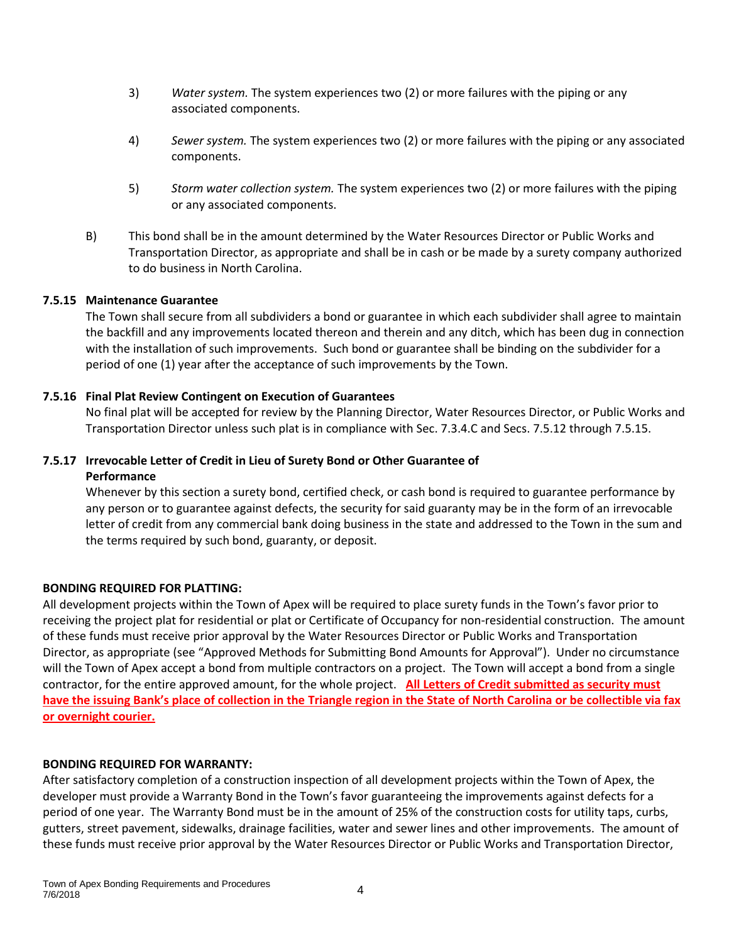- 3) *Water system.* The system experiences two (2) or more failures with the piping or any associated components.
- 4) *Sewer system.* The system experiences two (2) or more failures with the piping or any associated components.
- 5) *Storm water collection system.* The system experiences two (2) or more failures with the piping or any associated components.
- B) This bond shall be in the amount determined by the Water Resources Director or Public Works and Transportation Director, as appropriate and shall be in cash or be made by a surety company authorized to do business in North Carolina.

#### **7.5.15 Maintenance Guarantee**

The Town shall secure from all subdividers a bond or guarantee in which each subdivider shall agree to maintain the backfill and any improvements located thereon and therein and any ditch, which has been dug in connection with the installation of such improvements. Such bond or guarantee shall be binding on the subdivider for a period of one (1) year after the acceptance of such improvements by the Town.

#### **7.5.16 Final Plat Review Contingent on Execution of Guarantees**

No final plat will be accepted for review by the Planning Director, Water Resources Director, or Public Works and Transportation Director unless such plat is in compliance with Sec. 7.3.4.C and Secs. 7.5.12 through 7.5.15.

# **7.5.17 Irrevocable Letter of Credit in Lieu of Surety Bond or Other Guarantee of Performance**

Whenever by this section a surety bond, certified check, or cash bond is required to guarantee performance by any person or to guarantee against defects, the security for said guaranty may be in the form of an irrevocable letter of credit from any commercial bank doing business in the state and addressed to the Town in the sum and the terms required by such bond, guaranty, or deposit.

## **BONDING REQUIRED FOR PLATTING:**

All development projects within the Town of Apex will be required to place surety funds in the Town's favor prior to receiving the project plat for residential or plat or Certificate of Occupancy for non-residential construction. The amount of these funds must receive prior approval by the Water Resources Director or Public Works and Transportation Director, as appropriate (see "Approved Methods for Submitting Bond Amounts for Approval"). Under no circumstance will the Town of Apex accept a bond from multiple contractors on a project. The Town will accept a bond from a single contractor, for the entire approved amount, for the whole project. **All Letters of Credit submitted as security must have the issuing Bank's place of collection in the Triangle region in the State of North Carolina or be collectible via fax or overnight courier.**

#### **BONDING REQUIRED FOR WARRANTY:**

After satisfactory completion of a construction inspection of all development projects within the Town of Apex, the developer must provide a Warranty Bond in the Town's favor guaranteeing the improvements against defects for a period of one year. The Warranty Bond must be in the amount of 25% of the construction costs for utility taps, curbs, gutters, street pavement, sidewalks, drainage facilities, water and sewer lines and other improvements. The amount of these funds must receive prior approval by the Water Resources Director or Public Works and Transportation Director,